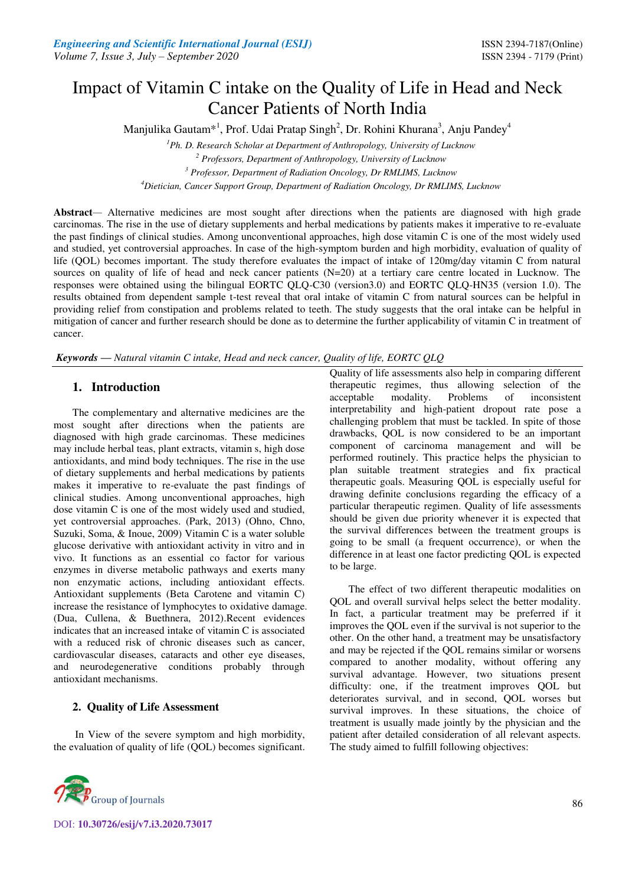# Impact of Vitamin C intake on the Quality of Life in Head and Neck Cancer Patients of North India

Manjulika Gautam $^{*1}$ , Prof. Udai Pratap Singh<sup>2</sup>, Dr. Rohini Khurana<sup>3</sup>, Anju Pandey<sup>4</sup>

*<sup>1</sup>Ph. D. Research Scholar at Department of Anthropology, University of Lucknow* 

*2 Professors, Department of Anthropology, University of Lucknow* 

*3 Professor, Department of Radiation Oncology, Dr RMLIMS, Lucknow* 

*<sup>4</sup>Dietician, Cancer Support Group, Department of Radiation Oncology, Dr RMLIMS, Lucknow* 

**Abstract***—* Alternative medicines are most sought after directions when the patients are diagnosed with high grade carcinomas. The rise in the use of dietary supplements and herbal medications by patients makes it imperative to re-evaluate the past findings of clinical studies. Among unconventional approaches, high dose vitamin C is one of the most widely used and studied, yet controversial approaches. In case of the high-symptom burden and high morbidity, evaluation of quality of life (QOL) becomes important. The study therefore evaluates the impact of intake of 120mg/day vitamin C from natural sources on quality of life of head and neck cancer patients (N=20) at a tertiary care centre located in Lucknow. The responses were obtained using the bilingual EORTC QLQ-C30 (version3.0) and EORTC QLQ-HN35 (version 1.0). The results obtained from dependent sample t-test reveal that oral intake of vitamin C from natural sources can be helpful in providing relief from constipation and problems related to teeth. The study suggests that the oral intake can be helpful in mitigation of cancer and further research should be done as to determine the further applicability of vitamin C in treatment of cancer.

*Keywords* **—** *Natural vitamin C intake, Head and neck cancer, Quality of life, EORTC QLQ* 

# **1. Introduction**

The complementary and alternative medicines are the most sought after directions when the patients are diagnosed with high grade carcinomas. These medicines may include herbal teas, plant extracts, vitamin s, high dose antioxidants, and mind body techniques. The rise in the use of dietary supplements and herbal medications by patients makes it imperative to re-evaluate the past findings of clinical studies. Among unconventional approaches, high dose vitamin C is one of the most widely used and studied, yet controversial approaches. (Park, 2013) (Ohno, Chno, Suzuki, Soma, & Inoue, 2009) Vitamin C is a water soluble glucose derivative with antioxidant activity in vitro and in vivo. It functions as an essential co factor for various enzymes in diverse metabolic pathways and exerts many non enzymatic actions, including antioxidant effects. Antioxidant supplements (Beta Carotene and vitamin C) increase the resistance of lymphocytes to oxidative damage. (Dua, Cullena, & Buethnera, 2012).Recent evidences indicates that an increased intake of vitamin C is associated with a reduced risk of chronic diseases such as cancer, cardiovascular diseases, cataracts and other eye diseases, and neurodegenerative conditions probably through antioxidant mechanisms.

# **2. Quality of Life Assessment**

 In View of the severe symptom and high morbidity, the evaluation of quality of life (QOL) becomes significant.



DOI: **10.30726/esij/v7.i3.2020.73017**

Quality of life assessments also help in comparing different therapeutic regimes, thus allowing selection of the acceptable modality. Problems of inconsistent interpretability and high-patient dropout rate pose a challenging problem that must be tackled. In spite of those drawbacks, QOL is now considered to be an important component of carcinoma management and will be performed routinely. This practice helps the physician to plan suitable treatment strategies and fix practical therapeutic goals. Measuring QOL is especially useful for drawing definite conclusions regarding the efficacy of a particular therapeutic regimen. Quality of life assessments should be given due priority whenever it is expected that the survival differences between the treatment groups is going to be small (a frequent occurrence), or when the difference in at least one factor predicting QOL is expected to be large.

The effect of two different therapeutic modalities on QOL and overall survival helps select the better modality. In fact, a particular treatment may be preferred if it improves the QOL even if the survival is not superior to the other. On the other hand, a treatment may be unsatisfactory and may be rejected if the QOL remains similar or worsens compared to another modality, without offering any survival advantage. However, two situations present difficulty: one, if the treatment improves QOL but deteriorates survival, and in second, QOL worses but survival improves. In these situations, the choice of treatment is usually made jointly by the physician and the patient after detailed consideration of all relevant aspects. The study aimed to fulfill following objectives: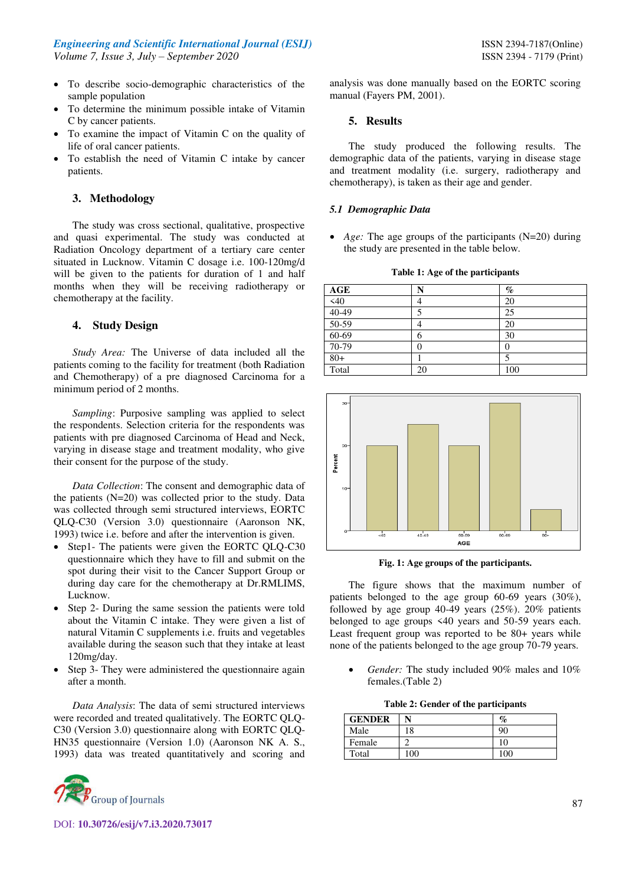- To describe socio-demographic characteristics of the sample population
- To determine the minimum possible intake of Vitamin C by cancer patients.
- To examine the impact of Vitamin C on the quality of life of oral cancer patients.
- To establish the need of Vitamin C intake by cancer patients.

## **3. Methodology**

The study was cross sectional, qualitative, prospective and quasi experimental. The study was conducted at Radiation Oncology department of a tertiary care center situated in Lucknow. Vitamin C dosage i.e. 100-120mg/d will be given to the patients for duration of 1 and half months when they will be receiving radiotherapy or chemotherapy at the facility.

## **4. Study Design**

*Study Area:* The Universe of data included all the patients coming to the facility for treatment (both Radiation and Chemotherapy) of a pre diagnosed Carcinoma for a minimum period of 2 months.

*Sampling*: Purposive sampling was applied to select the respondents. Selection criteria for the respondents was patients with pre diagnosed Carcinoma of Head and Neck, varying in disease stage and treatment modality, who give their consent for the purpose of the study.

*Data Collection*: The consent and demographic data of the patients (N=20) was collected prior to the study. Data was collected through semi structured interviews, EORTC QLQ-C30 (Version 3.0) questionnaire (Aaronson NK, 1993) twice i.e. before and after the intervention is given.

- Step1- The patients were given the EORTC QLQ-C30 questionnaire which they have to fill and submit on the spot during their visit to the Cancer Support Group or during day care for the chemotherapy at Dr.RMLIMS, Lucknow.
- Step 2- During the same session the patients were told about the Vitamin C intake. They were given a list of natural Vitamin C supplements i.e. fruits and vegetables available during the season such that they intake at least 120mg/day.
- Step 3- They were administered the questionnaire again after a month.

*Data Analysis*: The data of semi structured interviews were recorded and treated qualitatively. The EORTC QLQ-C30 (Version 3.0) questionnaire along with EORTC QLQ-HN35 questionnaire (Version 1.0) (Aaronson NK A. S., 1993) data was treated quantitatively and scoring and



DOI: **10.30726/esij/v7.i3.2020.73017**

analysis was done manually based on the EORTC scoring manual (Fayers PM, 2001).

## **5. Results**

The study produced the following results. The demographic data of the patients, varying in disease stage and treatment modality (i.e. surgery, radiotherapy and chemotherapy), is taken as their age and gender.

## *5.1 Demographic Data*

 *Age:* The age groups of the participants (N=20) during the study are presented in the table below.

**Table 1: Age of the participants** 

| AGE       | N  | $\%$ |
|-----------|----|------|
| $\leq 40$ |    | 20   |
| $40 - 49$ |    | 25   |
| 50-59     |    | 20   |
| 60-69     | n  | 30   |
| 70-79     |    |      |
| $80+$     |    |      |
| Total     | 20 | 100  |



**Fig. 1: Age groups of the participants.** 

The figure shows that the maximum number of patients belonged to the age group 60-69 years (30%), followed by age group 40-49 years (25%). 20% patients belonged to age groups <40 years and 50-59 years each. Least frequent group was reported to be 80+ years while none of the patients belonged to the age group 70-79 years.

 *Gender:* The study included 90% males and 10% females.(Table 2)

| <b>GENDER</b> | N   | $\%$ |
|---------------|-----|------|
| Male          | 18  | 90   |
| Female        |     | 10   |
| Total         | 100 | 100  |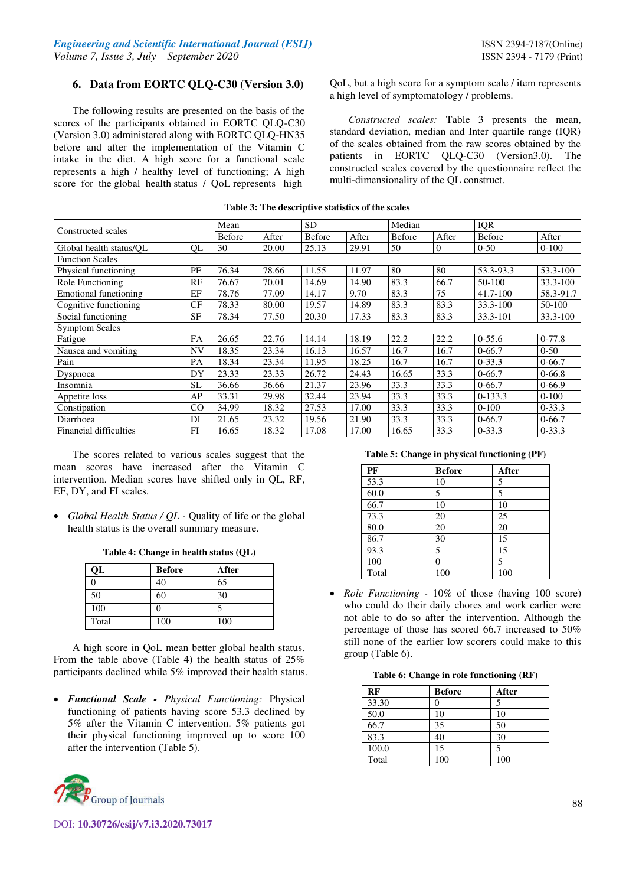# **6. Data from EORTC QLQ-C30 (Version 3.0)**

The following results are presented on the basis of the scores of the participants obtained in EORTC QLQ-C30 (Version 3.0) administered along with EORTC QLQ-HN35 before and after the implementation of the Vitamin C intake in the diet. A high score for a functional scale represents a high / healthy level of functioning; A high score for the global health status / QoL represents high

QoL, but a high score for a symptom scale / item represents a high level of symptomatology / problems.

*Constructed scales:* Table 3 presents the mean, standard deviation, median and Inter quartile range (IQR) of the scales obtained from the raw scores obtained by the patients in EORTC QLQ-C30 (Version3.0). The constructed scales covered by the questionnaire reflect the multi-dimensionality of the QL construct.

|                               |           | Mean   |       | <b>SD</b> |       | Median |          | IQR           |              |
|-------------------------------|-----------|--------|-------|-----------|-------|--------|----------|---------------|--------------|
| Constructed scales            |           | Before | After | Before    | After | Before | After    | <b>Before</b> | After        |
| Global health status/OL       | QL        | 30     | 20.00 | 25.13     | 29.91 | 50     | $\theta$ | $0 - 50$      | $0-100$      |
| <b>Function Scales</b>        |           |        |       |           |       |        |          |               |              |
| Physical functioning          | PF        | 76.34  | 78.66 | 11.55     | 11.97 | 80     | 80       | 53.3-93.3     | 53.3-100     |
| Role Functioning              | RF        | 76.67  | 70.01 | 14.69     | 14.90 | 83.3   | 66.7     | 50-100        | $33.3 - 100$ |
| Emotional functioning         | EF        | 78.76  | 77.09 | 14.17     | 9.70  | 83.3   | 75       | 41.7-100      | 58.3-91.7    |
| Cognitive functioning         | CF        | 78.33  | 80.00 | 19.57     | 14.89 | 83.3   | 83.3     | $33.3 - 100$  | 50-100       |
| Social functioning            | SF        | 78.34  | 77.50 | 20.30     | 17.33 | 83.3   | 83.3     | 33.3-101      | $33.3 - 100$ |
| <b>Symptom Scales</b>         |           |        |       |           |       |        |          |               |              |
| Fatigue                       | <b>FA</b> | 26.65  | 22.76 | 14.14     | 18.19 | 22.2   | 22.2     | $0-55.6$      | $0-77.8$     |
| Nausea and vomiting           | <b>NV</b> | 18.35  | 23.34 | 16.13     | 16.57 | 16.7   | 16.7     | $0-66.7$      | $0 - 50$     |
| Pain                          | PA        | 18.34  | 23.34 | 11.95     | 18.25 | 16.7   | 16.7     | $0 - 33.3$    | $0-66.7$     |
| Dyspnoea                      | DY        | 23.33  | 23.33 | 26.72     | 24.43 | 16.65  | 33.3     | $0-66.7$      | $0 - 66.8$   |
| Insomnia                      | <b>SL</b> | 36.66  | 36.66 | 21.37     | 23.96 | 33.3   | 33.3     | $0-66.7$      | $0-66.9$     |
| Appetite loss                 | AP        | 33.31  | 29.98 | 32.44     | 23.94 | 33.3   | 33.3     | $0-133.3$     | $0-100$      |
| Constipation                  | CO        | 34.99  | 18.32 | 27.53     | 17.00 | 33.3   | 33.3     | $0 - 100$     | $0 - 33.3$   |
| Diarrhoea                     | DI        | 21.65  | 23.32 | 19.56     | 21.90 | 33.3   | 33.3     | $0-66.7$      | $0-66.7$     |
| <b>Financial difficulties</b> | FI        | 16.65  | 18.32 | 17.08     | 17.00 | 16.65  | 33.3     | $0-33.3$      | $0-33.3$     |

### **Table 3: The descriptive statistics of the scales**

The scores related to various scales suggest that the mean scores have increased after the Vitamin C intervention. Median scores have shifted only in QL, RF, EF, DY, and FI scales.

*Global Health Status / QL - Quality of life or the global* health status is the overall summary measure.

| Table 4: Change in health status (QL) |  |  |  |  |  |
|---------------------------------------|--|--|--|--|--|
|---------------------------------------|--|--|--|--|--|

| QL    | <b>Before</b> | After |
|-------|---------------|-------|
|       | 40            | 65    |
| 50    | 60            | 30    |
| 100   |               |       |
| Total | 100           | 100   |

A high score in QoL mean better global health status. From the table above (Table 4) the health status of 25% participants declined while 5% improved their health status.

 *Functional Scale - Physical Functioning:* Physical functioning of patients having score 53.3 declined by 5% after the Vitamin C intervention. 5% patients got their physical functioning improved up to score 100 after the intervention (Table 5).



#### **Table 5: Change in physical functioning (PF)**

| PF    | <b>Before</b> | After |
|-------|---------------|-------|
| 53.3  | 10            | 5     |
| 60.0  | 5             | 5     |
| 66.7  | 10            | 10    |
| 73.3  | 20            | 25    |
| 80.0  | 20            | 20    |
| 86.7  | 30            | 15    |
| 93.3  | 5             | 15    |
| 100   | 0             | 5     |
| Total | 100           | 100   |

 *Role Functioning -* 10% of those (having 100 score) who could do their daily chores and work earlier were not able to do so after the intervention. Although the percentage of those has scored 66.7 increased to 50% still none of the earlier low scorers could make to this group (Table 6).

|  |  |  | Table 6: Change in role functioning (RF) |  |
|--|--|--|------------------------------------------|--|
|--|--|--|------------------------------------------|--|

| RF    | <b>Before</b> | After |
|-------|---------------|-------|
| 33.30 |               | 5     |
| 50.0  | 10            | 10    |
| 66.7  | 35            | 50    |
| 83.3  | 40            | 30    |
| 100.0 | 15            | 5     |
| Total | 100           | 100   |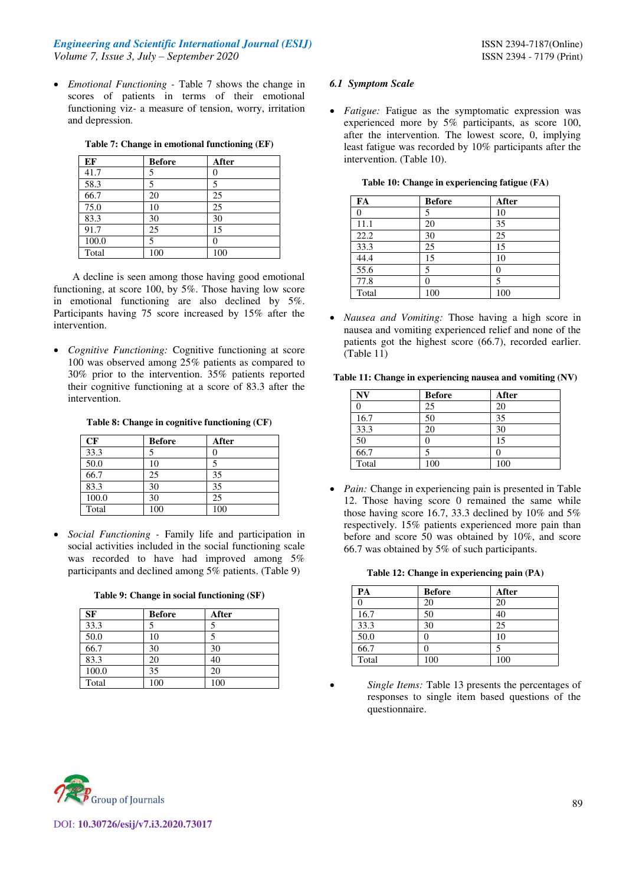*Emotional Functioning -* Table 7 shows the change in scores of patients in terms of their emotional functioning viz- a measure of tension, worry, irritation and depression.

|  | Table 7: Change in emotional functioning (EF) |  |  |
|--|-----------------------------------------------|--|--|
|  |                                               |  |  |

| EF    | <b>Before</b> | After |
|-------|---------------|-------|
| 41.7  | 5             | 0     |
| 58.3  | 5             | 5     |
| 66.7  | 20            | 25    |
| 75.0  | 10            | 25    |
| 83.3  | 30            | 30    |
| 91.7  | 25            | 15    |
| 100.0 | 5             | 0     |
| Total | 100           | 100   |

A decline is seen among those having good emotional functioning, at score 100, by 5%. Those having low score in emotional functioning are also declined by 5%. Participants having 75 score increased by 15% after the intervention.

 *Cognitive Functioning:* Cognitive functioning at score 100 was observed among 25% patients as compared to 30% prior to the intervention. 35% patients reported their cognitive functioning at a score of 83.3 after the intervention.

### **Table 8: Change in cognitive functioning (CF)**

| CF    | <b>Before</b> | After |
|-------|---------------|-------|
| 33.3  |               |       |
| 50.0  | 10            |       |
| 66.7  | 25            | 35    |
| 83.3  | 30            | 35    |
| 100.0 | 30            | 25    |
| Total | 100           | 100   |

 *Social Functioning -* Family life and participation in social activities included in the social functioning scale was recorded to have had improved among 5% participants and declined among 5% patients. (Table 9)

|  |  |  |  | Table 9: Change in social functioning (SF) |  |
|--|--|--|--|--------------------------------------------|--|
|--|--|--|--|--------------------------------------------|--|

| <b>SF</b> | <b>Before</b> | After |
|-----------|---------------|-------|
| 33.3      |               | 5     |
| 50.0      | 10            | 5     |
| 66.7      | 30            | 30    |
| 83.3      | 20            | 40    |
| 100.0     | 35            | 20    |
| Total     | 100           | 100   |

## *6.1 Symptom Scale*

 *Fatigue:* Fatigue as the symptomatic expression was experienced more by 5% participants, as score 100, after the intervention. The lowest score, 0, implying least fatigue was recorded by 10% participants after the intervention. (Table 10).

| FA       | <b>Before</b>   | After |
|----------|-----------------|-------|
| $\Omega$ | 5               | 10    |
| 11.1     | 20              | 35    |
| 22.2     | 30              | 25    |
| 33.3     | $2\overline{5}$ | 15    |
| 44.4     | 15              | 10    |
| 55.6     | 5               | 0     |
| 77.8     | 0               | 5     |
| Total    | 100             | 100   |

|  |  | Table 10: Change in experiencing fatigue (FA) |  |  |
|--|--|-----------------------------------------------|--|--|
|--|--|-----------------------------------------------|--|--|

 *Nausea and Vomiting:* Those having a high score in nausea and vomiting experienced relief and none of the patients got the highest score (66.7), recorded earlier. (Table 11)

|  |  | Table 11: Change in experiencing nausea and vomiting (NV) |  |  |  |
|--|--|-----------------------------------------------------------|--|--|--|
|--|--|-----------------------------------------------------------|--|--|--|

| N <sub>V</sub> | <b>Before</b> | After |
|----------------|---------------|-------|
|                | 25            | 20    |
| 16.7           | 50            | 35    |
| 33.3           | 20            | 30    |
| 50             |               | 15    |
| 66.7           |               |       |
| Total          | 100           | 100   |

 *Pain:* Change in experiencing pain is presented in Table 12. Those having score 0 remained the same while those having score 16.7, 33.3 declined by 10% and 5% respectively. 15% patients experienced more pain than before and score 50 was obtained by 10%, and score 66.7 was obtained by 5% of such participants.

#### **Table 12: Change in experiencing pain (PA)**

| PA    | <b>Before</b> | After |
|-------|---------------|-------|
|       | 20            | 20    |
| 16.7  | 50            | 40    |
| 33.3  | 30            | 25    |
| 50.0  |               | 10    |
| 66.7  |               |       |
| Total | 100           | 100   |

 *Single Items:* Table 13 presents the percentages of responses to single item based questions of the questionnaire.

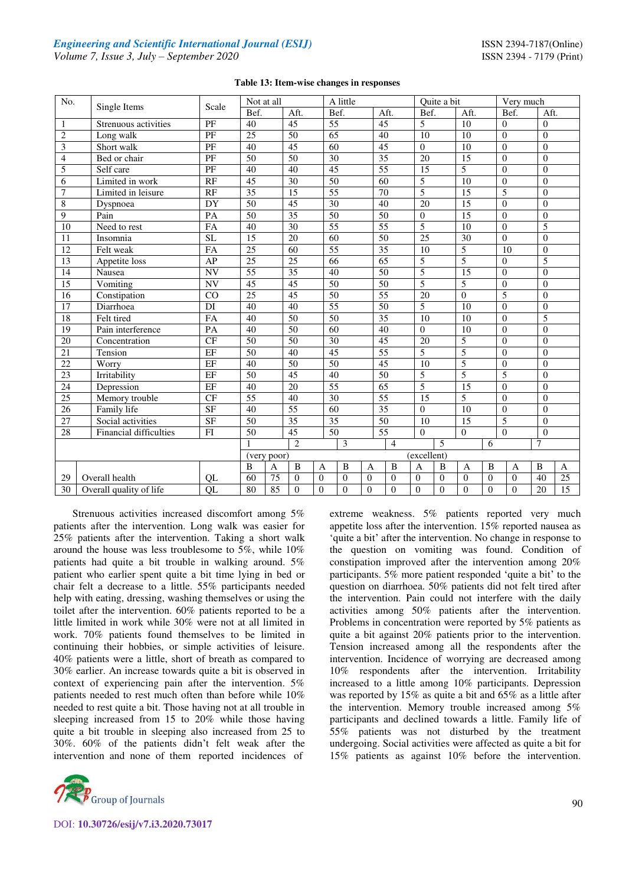| No.                     | Single Items            | Scale                  | A little<br>Not at all |                      | Quite a bit          |                          |                              | Very much        |                                |                |
|-------------------------|-------------------------|------------------------|------------------------|----------------------|----------------------|--------------------------|------------------------------|------------------|--------------------------------|----------------|
|                         |                         |                        | Bef.                   | Aft.                 | Bef.                 | Aft.                     | Bef.                         | Aft.             | Bef.                           | Aft.           |
| $\mathbf{1}$            | Strenuous activities    | PF                     | 40                     | 45                   | 55                   | 45                       | 5                            | 10               | $\overline{0}$                 | $\Omega$       |
| $\sqrt{2}$              | Long walk               | PF                     | 25                     | 50                   | 65                   | 40                       | 10                           | 10               | $\Omega$                       | $\Omega$       |
| 3                       | Short walk              | PF                     | 40                     | 45                   | 60                   | 45                       | $\Omega$                     | 10               | $\theta$                       | $\Omega$       |
| $\overline{\mathbf{4}}$ | Bed or chair            | PF                     | 50                     | 50                   | 30                   | 35                       | 20                           | 15               | $\theta$                       | $\Omega$       |
| 5                       | Self care               | $\overline{PF}$        | $\overline{40}$        | 40                   | $\overline{45}$      | $\overline{55}$          | $\overline{15}$              | 5                | $\mathbf{0}$                   | $\theta$       |
| 6                       | Limited in work         | RF                     | 45                     | 30                   | 50                   | 60                       | 5                            | 10               | $\theta$                       | $\theta$       |
| $\overline{7}$          | Limited in leisure      | RF                     | $\overline{35}$        | $\overline{15}$      | $\overline{55}$      | $\overline{70}$          | 5                            | $\overline{15}$  | 5                              | $\theta$       |
| $\overline{8}$          | Dyspnoea                | DY                     | 50                     | 45                   | 30                   | 40                       | 20                           | 15               | $\overline{0}$                 | $\overline{0}$ |
| $\overline{9}$          | Pain                    | PA                     | 50                     | $\overline{35}$      | 50                   | 50                       | $\boldsymbol{0}$             | 15               | $\theta$                       | $\theta$       |
| 10                      | Need to rest            | <b>FA</b>              | 40                     | 30                   | $\overline{55}$      | $\overline{55}$          | $\overline{5}$               | 10               | $\Omega$                       | 5              |
| $\overline{11}$         | Insomnia                | $\overline{\text{SL}}$ | 15                     | 20                   | 60                   | $\overline{50}$          | $\overline{25}$              | 30               | $\Omega$                       | $\Omega$       |
| $\overline{12}$         | Felt weak               | FA                     | $\overline{25}$        | 60                   | $\overline{55}$      | 35                       | $\overline{10}$              | 5                | 10                             | $\overline{0}$ |
| $\overline{13}$         | Appetite loss           | AP                     | $\overline{25}$        | $\overline{25}$      | 66                   | 65                       | 5                            | $\overline{5}$   | $\overline{0}$                 | $\overline{5}$ |
| 14                      | Nausea                  | <b>NV</b>              | $\overline{55}$        | 35                   | 40                   | 50                       | $\overline{5}$               | $\overline{15}$  | $\overline{0}$                 | $\overline{0}$ |
| $\overline{15}$         | Vomiting                | NV                     | 45                     | 45                   | 50                   | 50                       | 5                            | 5                | $\overline{0}$                 | $\overline{0}$ |
| 16                      | Constipation            | CO                     | 25                     | 45                   | 50                   | $\overline{55}$          | 20                           | $\boldsymbol{0}$ | $\overline{5}$                 | $\overline{0}$ |
| 17                      | Diarrhoea               | DI                     | 40                     | 40                   | 55                   | 50                       | 5                            | 10               | $\overline{0}$                 | $\theta$       |
| 18                      | Felt tired              | FA                     | 40                     | 50                   | 50                   | 35                       | 10                           | 10               | $\theta$                       | 5              |
| 19                      | Pain interference       | PA                     | 40                     | 50                   | 60                   | 40                       | $\Omega$                     | 10               | $\Omega$                       | $\Omega$       |
| 20                      | Concentration           | CF                     | 50                     | 50                   | 30                   | 45                       | 20                           | 5                | $\Omega$                       | $\Omega$       |
| 21                      | Tension                 | EF                     | $\overline{50}$        | 40                   | $\overline{45}$      | $\overline{55}$          | 5                            | 5                | $\theta$                       | $\Omega$       |
| 22                      | Worry                   | EF                     | 40                     | $\overline{50}$      | 50                   | 45                       | 10                           | 5                | $\Omega$                       | $\theta$       |
| $\overline{23}$         | Irritability            | EF                     | 50                     | 45                   | 40                   | 50                       | $\overline{5}$               | $\overline{5}$   | $\overline{5}$                 | $\theta$       |
| 24                      | Depression              | EF                     | 40                     | 20                   | $\overline{55}$      | 65                       | 5                            | 15               | $\overline{0}$                 | $\Omega$       |
| 25                      | Memory trouble          | CF                     | 55                     | 40                   | $\overline{30}$      | $\overline{55}$          | 15                           | 5                | $\Omega$                       | $\theta$       |
| 26                      | Family life             | <b>SF</b>              | 40                     | 55                   | 60                   | 35                       | $\Omega$                     | 10               | $\theta$                       | $\Omega$       |
| $\overline{27}$         | Social activities       | <b>SF</b>              | 50                     | 35                   | $\overline{35}$      | 50                       | 10                           | 15               | 5                              | $\Omega$       |
| 28                      | Financial difficulties  | FI                     | 50                     | 45                   | 50                   | 55                       | $\Omega$                     | $\Omega$         | $\Omega$                       | $\Omega$       |
|                         |                         |                        |                        | $\overline{2}$       | 3                    | $\overline{4}$           | $\overline{\phantom{0}}$     |                  | 6                              | $\tau$         |
|                         |                         |                        | (very poor)            |                      |                      |                          | (excellent)                  |                  |                                |                |
|                         |                         |                        | B<br>$\mathbf{A}$      | $\overline{B}$       | B<br>A               | B<br>$\overline{A}$      | B<br>$\overline{A}$          | $\mathbf{A}$     | $\, {\bf B}$<br>$\overline{A}$ | B<br>A         |
| 29                      | Overall health          | QL                     | 60                     | $\overline{0}$<br>75 | $\Omega$<br>$\theta$ | $\theta$<br>$\mathbf{0}$ | $\mathbf{0}$<br>$\mathbf{0}$ | $\theta$         | $\theta$<br>$\Omega$           | 40<br>25       |
| 30                      | Overall quality of life | QL                     | 80                     | 85<br>$\Omega$       | $\Omega$<br>$\theta$ | $\theta$<br>$\theta$     | $\Omega$<br>$\Omega$         | $\Omega$         | $\overline{0}$<br>$\Omega$     | 15<br>20       |

Strenuous activities increased discomfort among 5% patients after the intervention. Long walk was easier for 25% patients after the intervention. Taking a short walk around the house was less troublesome to 5%, while 10% patients had quite a bit trouble in walking around. 5% patient who earlier spent quite a bit time lying in bed or chair felt a decrease to a little. 55% participants needed help with eating, dressing, washing themselves or using the toilet after the intervention. 60% patients reported to be a little limited in work while 30% were not at all limited in work. 70% patients found themselves to be limited in continuing their hobbies, or simple activities of leisure. 40% patients were a little, short of breath as compared to 30% earlier. An increase towards quite a bit is observed in context of experiencing pain after the intervention. 5% patients needed to rest much often than before while 10% needed to rest quite a bit. Those having not at all trouble in sleeping increased from 15 to 20% while those having quite a bit trouble in sleeping also increased from 25 to 30%. 60% of the patients didn't felt weak after the intervention and none of them reported incidences of



DOI: **10.30726/esij/v7.i3.2020.73017**

extreme weakness. 5% patients reported very much appetite loss after the intervention. 15% reported nausea as 'quite a bit' after the intervention. No change in response to the question on vomiting was found. Condition of constipation improved after the intervention among 20% participants. 5% more patient responded 'quite a bit' to the question on diarrhoea. 50% patients did not felt tired after the intervention. Pain could not interfere with the daily activities among 50% patients after the intervention. Problems in concentration were reported by 5% patients as quite a bit against 20% patients prior to the intervention. Tension increased among all the respondents after the intervention. Incidence of worrying are decreased among 10% respondents after the intervention. Irritability increased to a little among 10% participants. Depression was reported by 15% as quite a bit and 65% as a little after the intervention. Memory trouble increased among 5% participants and declined towards a little. Family life of 55% patients was not disturbed by the treatment undergoing. Social activities were affected as quite a bit for 15% patients as against 10% before the intervention.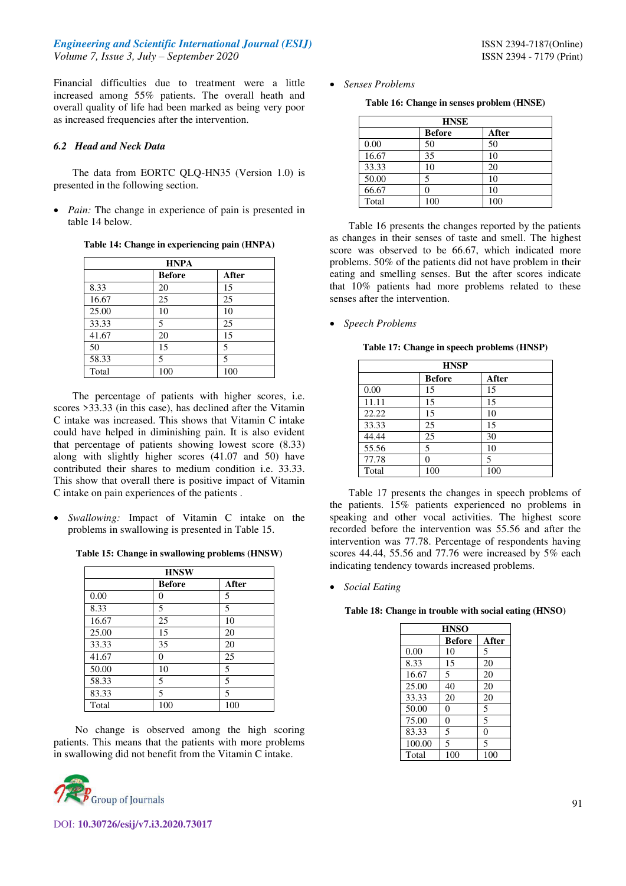Financial difficulties due to treatment were a little increased among 55% patients. The overall heath and overall quality of life had been marked as being very poor as increased frequencies after the intervention.

## *6.2 Head and Neck Data*

The data from EORTC QLQ-HN35 (Version 1.0) is presented in the following section.

*Pain:* The change in experience of pain is presented in table 14 below.

**Table 14: Change in experiencing pain (HNPA)** 

| <b>HNPA</b> |               |       |  |  |
|-------------|---------------|-------|--|--|
|             | <b>Before</b> | After |  |  |
| 8.33        | 20            | 15    |  |  |
| 16.67       | 25            | 25    |  |  |
| 25.00       | 10            | 10    |  |  |
| 33.33       | 5             | 25    |  |  |
| 41.67       | 20            | 15    |  |  |
| 50          | 15            | 5     |  |  |
| 58.33       | 5             | 5     |  |  |
| Total       | 100           | 100   |  |  |

The percentage of patients with higher scores, i.e. scores >33.33 (in this case), has declined after the Vitamin C intake was increased. This shows that Vitamin C intake could have helped in diminishing pain. It is also evident that percentage of patients showing lowest score (8.33) along with slightly higher scores (41.07 and 50) have contributed their shares to medium condition i.e. 33.33. This show that overall there is positive impact of Vitamin C intake on pain experiences of the patients .

 *Swallowing:* Impact of Vitamin C intake on the problems in swallowing is presented in Table 15.

|  |  | Table 15: Change in swallowing problems (HNSW) |  |  |
|--|--|------------------------------------------------|--|--|
|--|--|------------------------------------------------|--|--|

| <b>HNSW</b> |               |       |  |  |
|-------------|---------------|-------|--|--|
|             | <b>Before</b> | After |  |  |
| 0.00        | 0             | 5     |  |  |
| 8.33        | 5             | 5     |  |  |
| 16.67       | 25            | 10    |  |  |
| 25.00       | 15            | 20    |  |  |
| 33.33       | 35            | 20    |  |  |
| 41.67       | 0             | 25    |  |  |
| 50.00       | 10            | 5     |  |  |
| 58.33       | 5             | 5     |  |  |
| 83.33       | 5             | 5     |  |  |
| Total       | 100           | 100   |  |  |

 No change is observed among the high scoring patients. This means that the patients with more problems in swallowing did not benefit from the Vitamin C intake.



*Senses Problems* 

**Table 16: Change in senses problem (HNSE)** 

|       | <b>HNSE</b>            |     |  |  |
|-------|------------------------|-----|--|--|
|       | <b>Before</b><br>After |     |  |  |
| 0.00  | 50                     | 50  |  |  |
| 16.67 | 35                     | 10  |  |  |
| 33.33 | 10                     | 20  |  |  |
| 50.00 | 5                      | 10  |  |  |
| 66.67 |                        | 10  |  |  |
| Total | 100                    | 100 |  |  |

Table 16 presents the changes reported by the patients as changes in their senses of taste and smell. The highest score was observed to be 66.67, which indicated more problems. 50% of the patients did not have problem in their eating and smelling senses. But the after scores indicate that 10% patients had more problems related to these senses after the intervention.

## *Speech Problems*

**Table 17: Change in speech problems (HNSP)** 

| <b>HNSP</b> |               |       |  |
|-------------|---------------|-------|--|
|             | <b>Before</b> | After |  |
| 0.00        | 15            | 15    |  |
| 11.11       | 15            | 15    |  |
| 22.22       | 15            | 10    |  |
| 33.33       | 25            | 15    |  |
| 44.44       | 25            | 30    |  |
| 55.56       | 5             | 10    |  |
| 77.78       | 0             | 5     |  |
| Total       | 100           | 100   |  |

Table 17 presents the changes in speech problems of the patients. 15% patients experienced no problems in speaking and other vocal activities. The highest score recorded before the intervention was 55.56 and after the intervention was 77.78. Percentage of respondents having scores 44.44, 55.56 and 77.76 were increased by 5% each indicating tendency towards increased problems.

*Social Eating* 

**Table 18: Change in trouble with social eating (HNSO)** 

| <b>HNSO</b>            |                |          |  |  |
|------------------------|----------------|----------|--|--|
| <b>Before</b><br>After |                |          |  |  |
| 0.00                   | 10             | 5        |  |  |
| 8.33                   | 15             | 20       |  |  |
| 16.67                  | 5              | 20       |  |  |
| 25.00                  | 40             | 20       |  |  |
| 33.33                  | 20             | 20       |  |  |
| 50.00                  | $\overline{0}$ | 5        |  |  |
| 75.00                  | $\theta$       | 5        |  |  |
| 83.33                  | 5              | $\theta$ |  |  |
| 100.00                 | 5              | 5        |  |  |
| Total                  | 100            | 100      |  |  |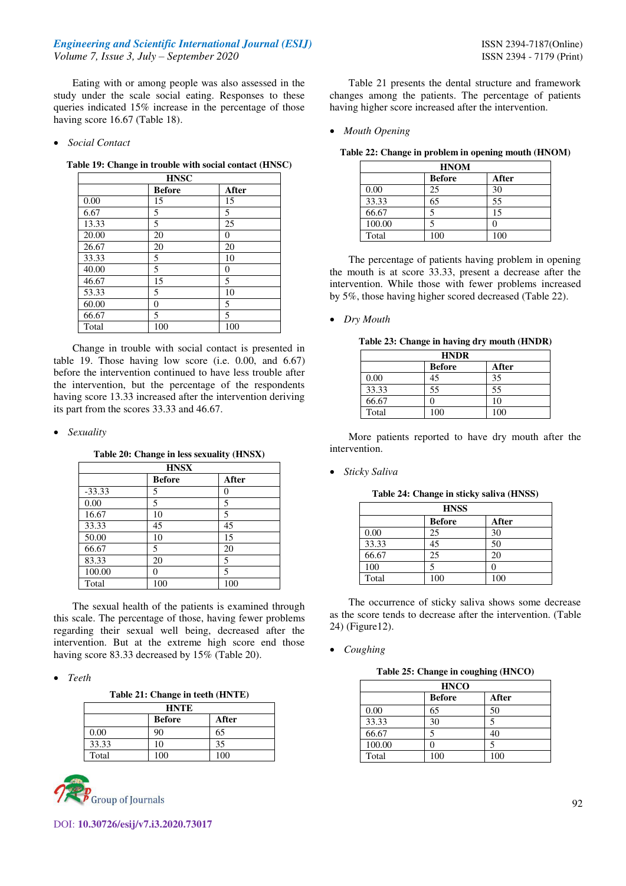Eating with or among people was also assessed in the study under the scale social eating. Responses to these queries indicated 15% increase in the percentage of those having score 16.67 (Table 18).

### *Social Contact*

### **Table 19: Change in trouble with social contact (HNSC)**

| <b>HNSC</b> |               |                |  |
|-------------|---------------|----------------|--|
|             | <b>Before</b> | After          |  |
| 0.00        | 15            | 15             |  |
| 6.67        | 5             | 5              |  |
| 13.33       | 5             | 25             |  |
| 20.00       | 20            | $\overline{0}$ |  |
| 26.67       | 20            | 20             |  |
| 33.33       | 5             | 10             |  |
| 40.00       | 5             | 0              |  |
| 46.67       | 15            | 5              |  |
| 53.33       | 5             | 10             |  |
| 60.00       | 0             | 5              |  |
| 66.67       | 5             | 5              |  |
| Total       | 100           | 100            |  |

Change in trouble with social contact is presented in table 19. Those having low score (i.e. 0.00, and 6.67) before the intervention continued to have less trouble after the intervention, but the percentage of the respondents having score 13.33 increased after the intervention deriving its part from the scores 33.33 and 46.67.

*Sexuality* 

**Table 20: Change in less sexuality (HNSX)** 

| <b>HNSX</b> |               |       |  |
|-------------|---------------|-------|--|
|             | <b>Before</b> | After |  |
| $-33.33$    | 5             | 0     |  |
| 0.00        | 5             | 5     |  |
| 16.67       | 10            | 5     |  |
| 33.33       | 45            | 45    |  |
| 50.00       | 10            | 15    |  |
| 66.67       | 5             | 20    |  |
| 83.33       | 20            | 5     |  |
| 100.00      | 0             | 5     |  |
| Total       | 100           | 100   |  |

The sexual health of the patients is examined through this scale. The percentage of those, having fewer problems regarding their sexual well being, decreased after the intervention. But at the extreme high score end those having score 83.33 decreased by 15% (Table 20).

*Teeth* 

**Table 21: Change in teeth (HNTE)** 

| <b>HNTE</b>            |     |     |  |  |
|------------------------|-----|-----|--|--|
| <b>Before</b><br>After |     |     |  |  |
| 0.00                   |     | 65  |  |  |
| 33.33                  | 10  | 35  |  |  |
| Total                  | 100 | 100 |  |  |



Table 21 presents the dental structure and framework changes among the patients. The percentage of patients having higher score increased after the intervention.

*Mouth Opening* 

|  |  |  | Table 22: Change in problem in opening mouth (HNOM) |  |
|--|--|--|-----------------------------------------------------|--|
|--|--|--|-----------------------------------------------------|--|

| <b>HNOM</b> |               |       |  |
|-------------|---------------|-------|--|
|             | <b>Before</b> | After |  |
| 0.00        | 25            | 30    |  |
| 33.33       | 65            | 55    |  |
| 66.67       |               | 15    |  |
| 100.00      |               |       |  |
| Total       | 100           | 100   |  |

The percentage of patients having problem in opening the mouth is at score 33.33, present a decrease after the intervention. While those with fewer problems increased by 5%, those having higher scored decreased (Table 22).

*Dry Mouth* 

**Table 23: Change in having dry mouth (HNDR)** 

| <b>HNDR</b> |               |       |  |
|-------------|---------------|-------|--|
|             | <b>Before</b> | After |  |
| 0.00        | 45            | 35    |  |
| 33.33       | 55            | 55    |  |
| 66.67       |               | 10    |  |
| Total       | 100           | 100   |  |

More patients reported to have dry mouth after the intervention.

*Sticky Saliva* 

| Table 24: Change in sticky saliva (HNSS) |  |  |  |  |  |
|------------------------------------------|--|--|--|--|--|
|------------------------------------------|--|--|--|--|--|

| <b>HNSS</b> |                        |     |  |  |
|-------------|------------------------|-----|--|--|
|             | <b>Before</b><br>After |     |  |  |
| 0.00        | 25                     | 30  |  |  |
| 33.33       | 45                     | 50  |  |  |
| 66.67       | 25                     | 20  |  |  |
| 100         |                        |     |  |  |
| Total       | 100                    | 100 |  |  |

The occurrence of sticky saliva shows some decrease as the score tends to decrease after the intervention. (Table 24) (Figure12).

*Coughing* 

**Table 25: Change in coughing (HNCO)** 

| <b>HNCO</b> |               |       |
|-------------|---------------|-------|
|             | <b>Before</b> | After |
| 0.00        | 65            | 50    |
| 33.33       | 30            | 5     |
| 66.67       | 5             | 40    |
| 100.00      |               | 5     |
| Total       | 100           | 100   |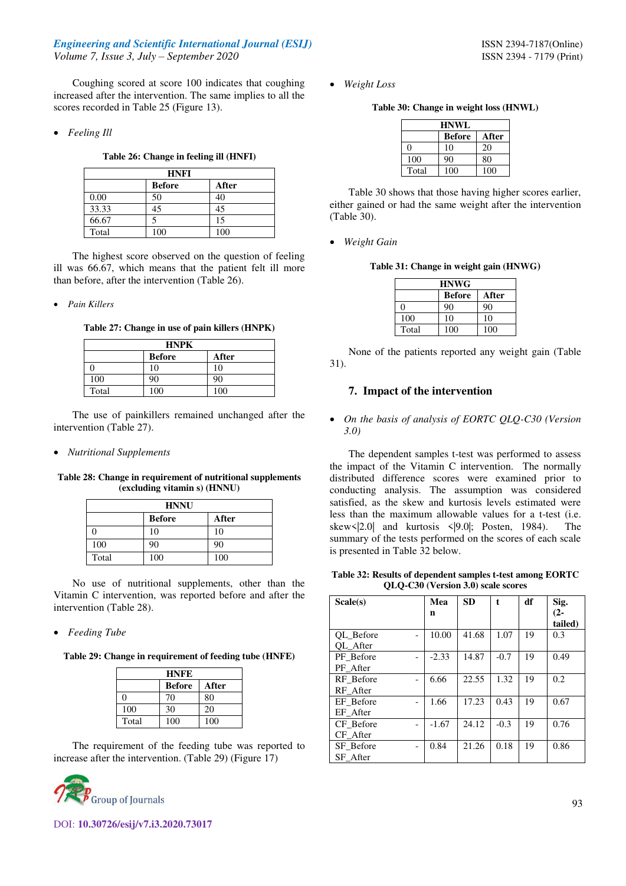Coughing scored at score 100 indicates that coughing increased after the intervention. The same implies to all the scores recorded in Table 25 (Figure 13).

*Feeling Ill* 

**Table 26: Change in feeling ill (HNFI)** 

| <b>HNFI</b> |               |       |  |  |  |
|-------------|---------------|-------|--|--|--|
|             | <b>Before</b> | After |  |  |  |
| 0.00        | 50            | 40    |  |  |  |
| 33.33       | 45            | 45    |  |  |  |
| 66.67       |               | 15    |  |  |  |
| Total       | 100           | 100   |  |  |  |

The highest score observed on the question of feeling ill was 66.67, which means that the patient felt ill more than before, after the intervention (Table 26).

*Pain Killers* 

**Table 27: Change in use of pain killers (HNPK)** 

| <b>HNPK</b>            |     |     |  |  |  |  |
|------------------------|-----|-----|--|--|--|--|
| <b>Before</b><br>After |     |     |  |  |  |  |
|                        | 10  | 10  |  |  |  |  |
| 100                    | 90  | 90  |  |  |  |  |
| Total                  | 100 | 100 |  |  |  |  |

The use of painkillers remained unchanged after the intervention (Table 27).

*Nutritional Supplements* 

**Table 28: Change in requirement of nutritional supplements (excluding vitamin s) (HNNU)** 

| <b>HNNU</b> |               |       |  |  |  |
|-------------|---------------|-------|--|--|--|
|             | <b>Before</b> | After |  |  |  |
|             | 10            | 10    |  |  |  |
| 100         | 90            | 90    |  |  |  |
| Total       | 100           | 100   |  |  |  |

No use of nutritional supplements, other than the Vitamin C intervention, was reported before and after the intervention (Table 28).

#### *Feeding Tube*

**Table 29: Change in requirement of feeding tube (HNFE)** 

| <b>HNFE</b> |               |       |  |  |  |
|-------------|---------------|-------|--|--|--|
|             | <b>Before</b> | After |  |  |  |
| 0           | 70            | 80    |  |  |  |
| 100         | 30            | 20    |  |  |  |
| Total       | 100           | 100   |  |  |  |

The requirement of the feeding tube was reported to increase after the intervention. (Table 29) (Figure 17)



*Weight Loss* 

**Table 30: Change in weight loss (HNWL)** 

| <b>HNWL</b>            |     |     |  |  |  |  |
|------------------------|-----|-----|--|--|--|--|
| <b>Before</b><br>After |     |     |  |  |  |  |
| 0                      | 10  | 20  |  |  |  |  |
| 100                    | 90  | 80  |  |  |  |  |
| Total                  | 100 | 100 |  |  |  |  |

Table 30 shows that those having higher scores earlier, either gained or had the same weight after the intervention (Table 30).

*Weight Gain* 

**Table 31: Change in weight gain (HNWG)** 

| <b>HNWG</b>            |     |     |  |  |  |  |  |
|------------------------|-----|-----|--|--|--|--|--|
| <b>Before</b><br>After |     |     |  |  |  |  |  |
| O                      | 90  | 90  |  |  |  |  |  |
| 100                    | 10  | 10  |  |  |  |  |  |
| Total                  | 100 | 100 |  |  |  |  |  |

None of the patients reported any weight gain (Table 31).

## **7. Impact of the intervention**

 *On the basis of analysis of EORTC QLQ-C30 (Version 3.0)* 

The dependent samples t-test was performed to assess the impact of the Vitamin C intervention. The normally distributed difference scores were examined prior to conducting analysis. The assumption was considered satisfied, as the skew and kurtosis levels estimated were less than the maximum allowable values for a t-test (i.e. skew<|2.0| and kurtosis <|9.0|; Posten, 1984). The summary of the tests performed on the scores of each scale is presented in Table 32 below.

**Table 32: Results of dependent samples t-test among EORTC QLQ-C30 (Version 3.0) scale scores** 

| Scale(s)  | Mea     | <b>SD</b> | $\mathbf{f}$ | df | Sig.    |
|-----------|---------|-----------|--------------|----|---------|
|           | n       |           |              |    | $(2 -$  |
|           |         |           |              |    | tailed) |
| OL Before | 10.00   | 41.68     | 1.07         | 19 | 0.3     |
| OL After  |         |           |              |    |         |
| PF Before | $-2.33$ | 14.87     | $-0.7$       | 19 | 0.49    |
| PF After  |         |           |              |    |         |
| RF Before | 6.66    | 22.55     | 1.32         | 19 | 0.2     |
| RF After  |         |           |              |    |         |
| EF Before | 1.66    | 17.23     | 0.43         | 19 | 0.67    |
| EF After  |         |           |              |    |         |
| CF Before | $-1.67$ | 24.12     | $-0.3$       | 19 | 0.76    |
| CF After  |         |           |              |    |         |
| SF Before | 0.84    | 21.26     | 0.18         | 19 | 0.86    |
| SF After  |         |           |              |    |         |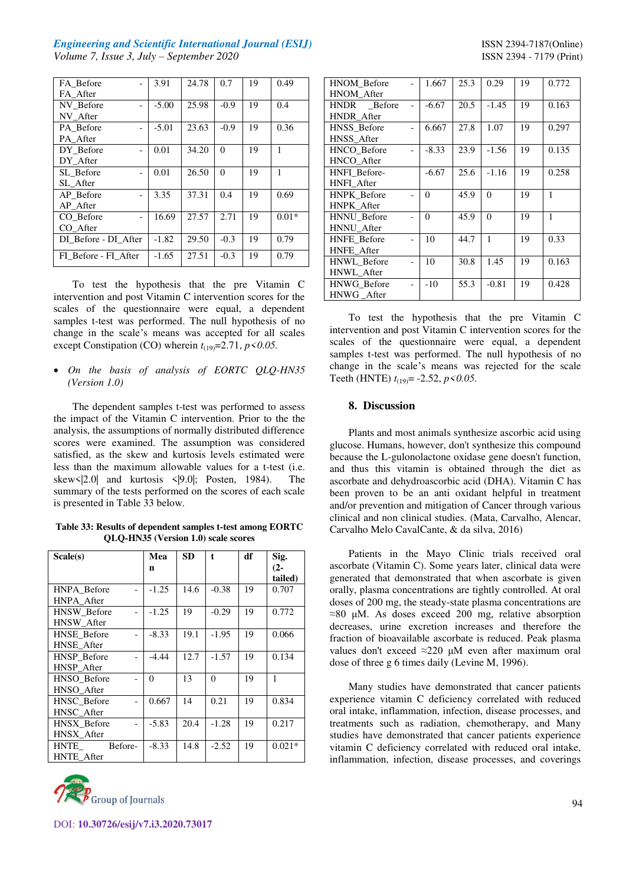| FA Before            | 3.91    | 24.78 | 0.7      | 19 | 0.49    |
|----------------------|---------|-------|----------|----|---------|
| FA After             |         |       |          |    |         |
| NV Before            | $-5.00$ | 25.98 | $-0.9$   | 19 | 0.4     |
| NV After             |         |       |          |    |         |
| PA Before            | $-5.01$ | 23.63 | $-0.9$   | 19 | 0.36    |
| PA After             |         |       |          |    |         |
| DY Before            | 0.01    | 34.20 | $\Omega$ | 19 | 1       |
| DY After             |         |       |          |    |         |
| SL Before            | 0.01    | 26.50 | $\Omega$ | 19 | 1       |
| SL After             |         |       |          |    |         |
| AP Before            | 3.35    | 37.31 | 0.4      | 19 | 0.69    |
| AP After             |         |       |          |    |         |
| CO Before            | 16.69   | 27.57 | 2.71     | 19 | $0.01*$ |
| CO After             |         |       |          |    |         |
| DI Before - DI After | $-1.82$ | 29.50 | $-0.3$   | 19 | 0.79    |
| FI Before - FI After | $-1.65$ | 27.51 | $-0.3$   | 19 | 0.79    |

To test the hypothesis that the pre Vitamin C intervention and post Vitamin C intervention scores for the scales of the questionnaire were equal, a dependent samples t-test was performed. The null hypothesis of no change in the scale's means was accepted for all scales except Constipation (CO) wherein  $t_{(19)} = 2.71$ ,  $p \le 0.05$ .

 *On the basis of analysis of EORTC QLQ-HN35 (Version 1.0)* 

The dependent samples t-test was performed to assess the impact of the Vitamin C intervention. Prior to the the analysis, the assumptions of normally distributed difference scores were examined. The assumption was considered satisfied, as the skew and kurtosis levels estimated were less than the maximum allowable values for a t-test (i.e. skew  $\vert 2.0\vert$  and kurtosis  $\vert 9.0\vert$ ; Posten, 1984). The summary of the tests performed on the scores of each scale is presented in Table 33 below.

**Table 33: Results of dependent samples t-test among EORTC QLQ-HN35 (Version 1.0) scale scores** 

| Scale(s)               | Mea      | SD.  | $\mathbf{t}$ | df | Sig.     |
|------------------------|----------|------|--------------|----|----------|
|                        | n        |      |              |    | $(2-$    |
|                        |          |      |              |    | tailed)  |
| HNPA Before            | $-1.25$  | 14.6 | $-0.38$      | 19 | 0.707    |
| HNPA After             |          |      |              |    |          |
| <b>HNSW</b> Before     | $-1.25$  | 19   | $-0.29$      | 19 | 0.772    |
| <b>HNSW</b> After      |          |      |              |    |          |
| <b>HNSE</b> Before     | $-8.33$  | 19.1 | $-1.95$      | 19 | 0.066    |
| <b>HNSE</b> After      |          |      |              |    |          |
| <b>HNSP</b> Before     | $-4.44$  | 12.7 | $-1.57$      | 19 | 0.134    |
| HNSP After             |          |      |              |    |          |
| HNSO Before            | $\Omega$ | 13   | $\Omega$     | 19 | 1        |
| HNSO After             |          |      |              |    |          |
| HNSC_Before            | 0.667    | 14   | 0.21         | 19 | 0.834    |
| HNSC After             |          |      |              |    |          |
| <b>HNSX</b> Before     | $-5.83$  | 20.4 | $-1.28$      | 19 | 0.217    |
| HNSX After             |          |      |              |    |          |
| Before-<br><b>HNTE</b> | $-8.33$  | 14.8 | $-2.52$      | 19 | $0.021*$ |
| <b>HNTE</b> After      |          |      |              |    |          |



| HNOM Before        | 1.667   | 25.3 | 0.29     | 19 | 0.772 |
|--------------------|---------|------|----------|----|-------|
| <b>HNOM</b> After  |         |      |          |    |       |
| HNDR Before        | $-6.67$ | 20.5 | $-1.45$  | 19 | 0.163 |
| <b>HNDR</b> After  |         |      |          |    |       |
| HNSS Before        | 6.667   | 27.8 | 1.07     | 19 | 0.297 |
| HNSS After         |         |      |          |    |       |
| HNCO Before        | $-8.33$ | 23.9 | $-1.56$  | 19 | 0.135 |
| HNCO After         |         |      |          |    |       |
| HNFI Before-       | $-6.67$ | 25.6 | $-1.16$  | 19 | 0.258 |
| <b>HNFI</b> After  |         |      |          |    |       |
| <b>HNPK</b> Before | 0       | 45.9 | $\Omega$ | 19 | 1     |
| <b>HNPK</b> After  |         |      |          |    |       |
| <b>HNNU</b> Before | 0       | 45.9 | $\Omega$ | 19 | 1     |
| <b>HNNU</b> After  |         |      |          |    |       |
| <b>HNFE</b> Before | 10      | 44.7 | 1        | 19 | 0.33  |
| <b>HNFE</b> After  |         |      |          |    |       |
| HNWL Before        | 10      | 30.8 | 1.45     | 19 | 0.163 |
| HNWL_After         |         |      |          |    |       |
| <b>HNWG</b> Before | $-10$   | 55.3 | $-0.81$  | 19 | 0.428 |
| HNWG After         |         |      |          |    |       |
|                    |         |      |          |    |       |

To test the hypothesis that the pre Vitamin C intervention and post Vitamin C intervention scores for the scales of the questionnaire were equal, a dependent samples t-test was performed. The null hypothesis of no change in the scale's means was rejected for the scale Teeth (HNTE) *t*(19)= -2.52, *p<0.05.* 

## **8. Discussion**

Plants and most animals synthesize ascorbic acid using glucose. Humans, however, don't synthesize this compound because the L-gulonolactone oxidase gene doesn't function, and thus this vitamin is obtained through the diet as ascorbate and dehydroascorbic acid (DHA). Vitamin C has been proven to be an anti oxidant helpful in treatment and/or prevention and mitigation of Cancer through various clinical and non clinical studies. (Mata, Carvalho, Alencar, Carvalho Melo CavalCante, & da silva, 2016)

Patients in the Mayo Clinic trials received oral ascorbate (Vitamin C). Some years later, clinical data were generated that demonstrated that when ascorbate is given orally, plasma concentrations are tightly controlled. At oral doses of 200 mg, the steady-state plasma concentrations are ≈80 μM. As doses exceed 200 mg, relative absorption decreases, urine excretion increases and therefore the fraction of bioavailable ascorbate is reduced. Peak plasma values don't exceed ≈220 μM even after maximum oral dose of three g 6 times daily (Levine M, 1996).

Many studies have demonstrated that cancer patients experience vitamin C deficiency correlated with reduced oral intake, inflammation, infection, disease processes, and treatments such as radiation, chemotherapy, and Many studies have demonstrated that cancer patients experience vitamin C deficiency correlated with reduced oral intake, inflammation, infection, disease processes, and coverings